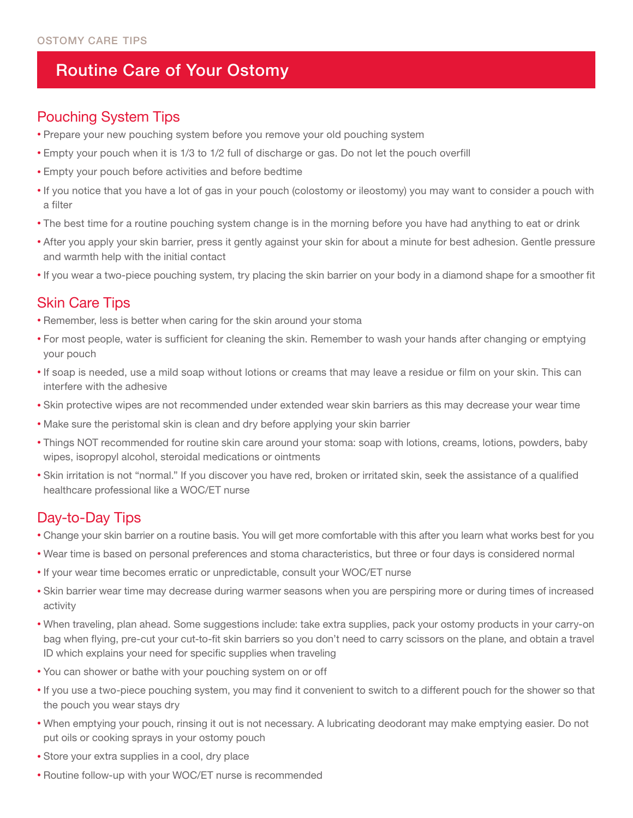# Routine Care of Your Ostomy

#### Pouching System Tips

- Prepare your new pouching system before you remove your old pouching system
- Empty your pouch when it is 1/3 to 1/2 full of discharge or gas. Do not let the pouch overfill
- Empty your pouch before activities and before bedtime
- If you notice that you have a lot of gas in your pouch (colostomy or ileostomy) you may want to consider a pouch with a filter
- The best time for a routine pouching system change is in the morning before you have had anything to eat or drink
- After you apply your skin barrier, press it gently against your skin for about a minute for best adhesion. Gentle pressure and warmth help with the initial contact
- If you wear a two-piece pouching system, try placing the skin barrier on your body in a diamond shape for a smoother fit

## Skin Care Tips

- Remember, less is better when caring for the skin around your stoma
- For most people, water is sufficient for cleaning the skin. Remember to wash your hands after changing or emptying your pouch
- If soap is needed, use a mild soap without lotions or creams that may leave a residue or film on your skin. This can interfere with the adhesive
- Skin protective wipes are not recommended under extended wear skin barriers as this may decrease your wear time
- Make sure the peristomal skin is clean and dry before applying your skin barrier
- Things NOT recommended for routine skin care around your stoma: soap with lotions, creams, lotions, powders, baby wipes, isopropyl alcohol, steroidal medications or ointments
- Skin irritation is not "normal." If you discover you have red, broken or irritated skin, seek the assistance of a qualified healthcare professional like a WOC/ET nurse

## Day-to-Day Tips

- Change your skin barrier on a routine basis. You will get more comfortable with this after you learn what works best for you
- Wear time is based on personal preferences and stoma characteristics, but three or four days is considered normal
- If your wear time becomes erratic or unpredictable, consult your WOC/ET nurse
- Skin barrier wear time may decrease during warmer seasons when you are perspiring more or during times of increased activity
- When traveling, plan ahead. Some suggestions include: take extra supplies, pack your ostomy products in your carry-on bag when flying, pre-cut your cut-to-fit skin barriers so you don't need to carry scissors on the plane, and obtain a travel ID which explains your need for specific supplies when traveling
- You can shower or bathe with your pouching system on or off
- If you use a two-piece pouching system, you may find it convenient to switch to a different pouch for the shower so that the pouch you wear stays dry
- When emptying your pouch, rinsing it out is not necessary. A lubricating deodorant may make emptying easier. Do not put oils or cooking sprays in your ostomy pouch
- Store your extra supplies in a cool, dry place
- Routine follow-up with your WOC/ET nurse is recommended